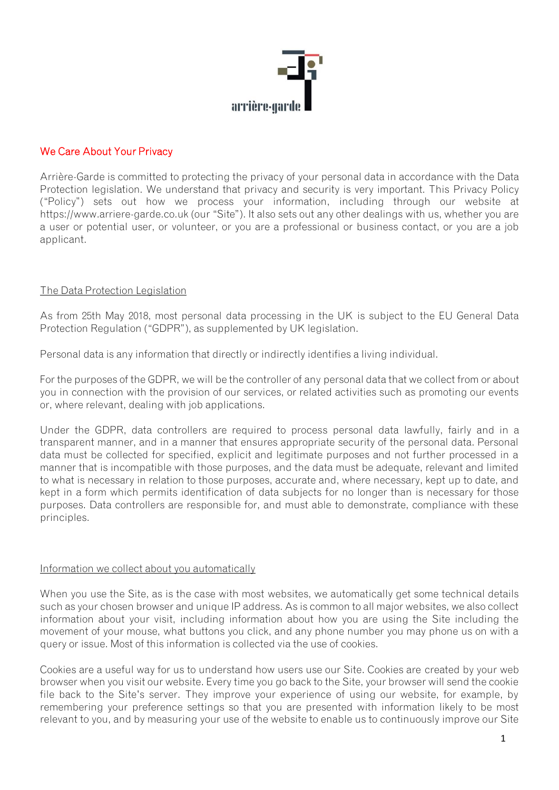

# We Care About Your Privacy

Arrière-Garde is committed to protecting the privacy of your personal data in accordance with the Data Protection legislation. We understand that privacy and security is very important. This Privacy Policy ("Policy") sets out how we process your information, including through our website at https://www.arriere-garde.co.uk (our "Site"). It also sets out any other dealings with us, whether you are a user or potential user, or volunteer, or you are a professional or business contact, or you are a job applicant.

### The Data Protection Legislation

As from 25th May 2018, most personal data processing in the UK is subject to the EU General Data Protection Regulation ("GDPR"), as supplemented by UK legislation.

Personal data is any information that directly or indirectly identifies a living individual.

For the purposes of the GDPR, we will be the controller of any personal data that we collect from or about you in connection with the provision of our services, or related activities such as promoting our events or, where relevant, dealing with job applications.

Under the GDPR, data controllers are required to process personal data lawfully, fairly and in a transparent manner, and in a manner that ensures appropriate security of the personal data. Personal data must be collected for specified, explicit and legitimate purposes and not further processed in a manner that is incompatible with those purposes, and the data must be adequate, relevant and limited to what is necessary in relation to those purposes, accurate and, where necessary, kept up to date, and kept in a form which permits identification of data subjects for no longer than is necessary for those purposes. Data controllers are responsible for, and must able to demonstrate, compliance with these principles.

#### Information we collect about you automatically

When you use the Site, as is the case with most websites, we automatically get some technical details such as your chosen browser and unique IP address. As is common to all major websites, we also collect information about your visit, including information about how you are using the Site including the movement of your mouse, what buttons you click, and any phone number you may phone us on with a query or issue. Most of this information is collected via the use of cookies.

Cookies are a useful way for us to understand how users use our Site. Cookies are created by your web browser when you visit our website. Every time you go back to the Site, your browser will send the cookie file back to the Site's server. They improve your experience of using our website, for example, by remembering your preference settings so that you are presented with information likely to be most relevant to you, and by measuring your use of the website to enable us to continuously improve our Site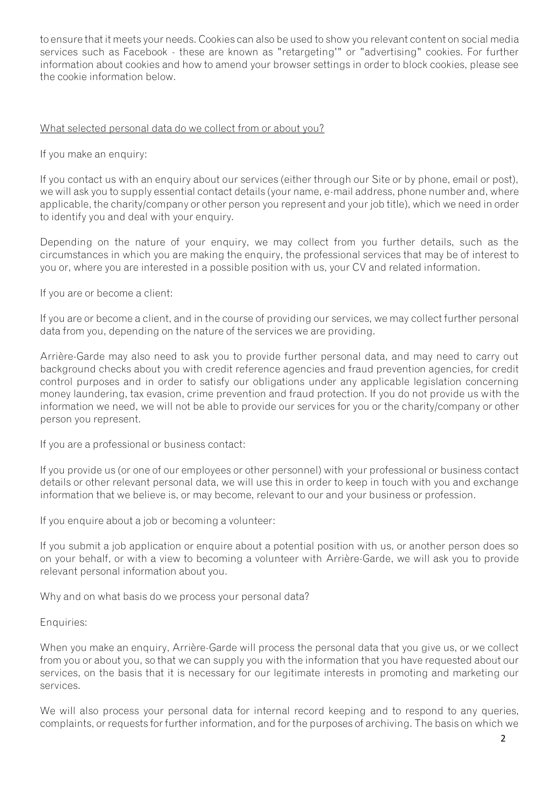to ensure that it meets your needs. Cookies can also be used to show you relevant content on social media services such as Facebook - these are known as "retargeting'" or "advertising" cookies. For further information about cookies and how to amend your browser settings in order to block cookies, please see the cookie information below.

### What selected personal data do we collect from or about you?

If you make an enquiry:

If you contact us with an enquiry about our services (either through our Site or by phone, email or post), we will ask you to supply essential contact details (your name, e-mail address, phone number and, where applicable, the charity/company or other person you represent and your job title), which we need in order to identify you and deal with your enquiry.

Depending on the nature of your enquiry, we may collect from you further details, such as the circumstances in which you are making the enquiry, the professional services that may be of interest to you or, where you are interested in a possible position with us, your CV and related information.

If you are or become a client:

If you are or become a client, and in the course of providing our services, we may collect further personal data from you, depending on the nature of the services we are providing.

Arrière-Garde may also need to ask you to provide further personal data, and may need to carry out background checks about you with credit reference agencies and fraud prevention agencies, for credit control purposes and in order to satisfy our obligations under any applicable legislation concerning money laundering, tax evasion, crime prevention and fraud protection. If you do not provide us with the information we need, we will not be able to provide our services for you or the charity/company or other person you represent.

If you are a professional or business contact:

If you provide us (or one of our employees or other personnel) with your professional or business contact details or other relevant personal data, we will use this in order to keep in touch with you and exchange information that we believe is, or may become, relevant to our and your business or profession.

If you enquire about a job or becoming a volunteer:

If you submit a job application or enquire about a potential position with us, or another person does so on your behalf, or with a view to becoming a volunteer with Arrière-Garde, we will ask you to provide relevant personal information about you.

Why and on what basis do we process your personal data?

#### Enquiries:

When you make an enquiry, Arrière-Garde will process the personal data that you give us, or we collect from you or about you, so that we can supply you with the information that you have requested about our services, on the basis that it is necessary for our legitimate interests in promoting and marketing our services.

We will also process your personal data for internal record keeping and to respond to any queries, complaints, or requests for further information, and for the purposes of archiving. The basis on which we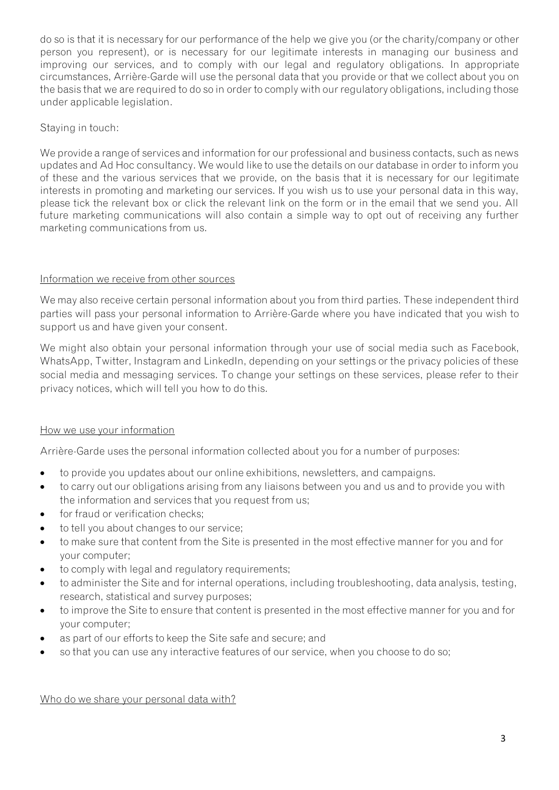do so is that it is necessary for our performance of the help we give you (or the charity/company or other person you represent), or is necessary for our legitimate interests in managing our business and improving our services, and to comply with our legal and regulatory obligations. In appropriate circumstances, Arrière-Garde will use the personal data that you provide or that we collect about you on the basis that we are required to do so in order to comply with our regulatory obligations, including those under applicable legislation.

# Staying in touch:

We provide a range of services and information for our professional and business contacts, such as news updates and Ad Hoc consultancy. We would like to use the details on our database in order to inform you of these and the various services that we provide, on the basis that it is necessary for our legitimate interests in promoting and marketing our services. If you wish us to use your personal data in this way, please tick the relevant box or click the relevant link on the form or in the email that we send you. All future marketing communications will also contain a simple way to opt out of receiving any further marketing communications from us.

## Information we receive from other sources

We may also receive certain personal information about you from third parties. These independent third parties will pass your personal information to Arrière-Garde where you have indicated that you wish to support us and have given your consent.

We might also obtain your personal information through your use of social media such as Facebook, WhatsApp, Twitter, Instagram and LinkedIn, depending on your settings or the privacy policies of these social media and messaging services. To change your settings on these services, please refer to their privacy notices, which will tell you how to do this.

## How we use your information

Arrière-Garde uses the personal information collected about you for a number of purposes:

- to provide you updates about our online exhibitions, newsletters, and campaigns.
- to carry out our obligations arising from any liaisons between you and us and to provide you with the information and services that you request from us;
- for fraud or verification checks;
- to tell you about changes to our service;
- to make sure that content from the Site is presented in the most effective manner for you and for your computer;
- to comply with legal and regulatory requirements;
- to administer the Site and for internal operations, including troubleshooting, data analysis, testing, research, statistical and survey purposes;
- to improve the Site to ensure that content is presented in the most effective manner for you and for your computer;
- as part of our efforts to keep the Site safe and secure; and
- so that you can use any interactive features of our service, when you choose to do so;

Who do we share your personal data with?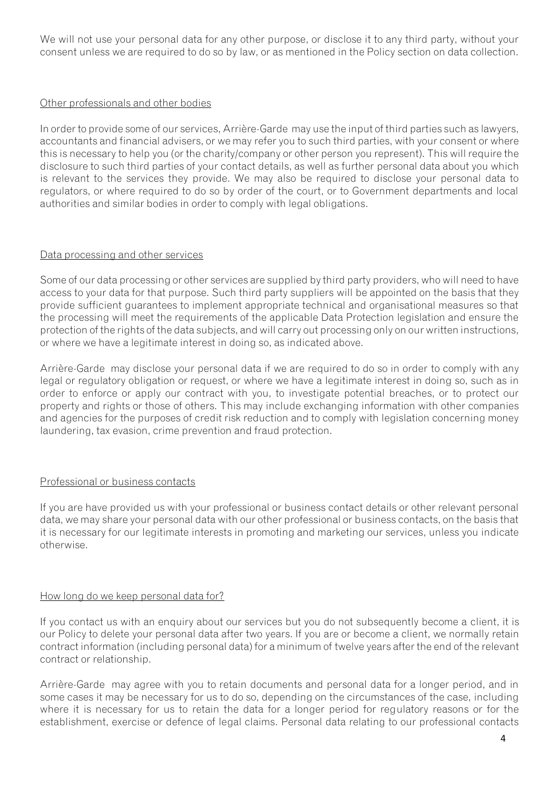We will not use your personal data for any other purpose, or disclose it to any third party, without your consent unless we are required to do so by law, or as mentioned in the Policy section on data collection.

### Other professionals and other bodies

In order to provide some of our services, Arrière-Garde may use the input of third parties such as lawyers, accountants and financial advisers, or we may refer you to such third parties, with your consent or where this is necessary to help you (or the charity/company or other person you represent). This will require the disclosure to such third parties of your contact details, as well as further personal data about you which is relevant to the services they provide. We may also be required to disclose your personal data to regulators, or where required to do so by order of the court, or to Government departments and local authorities and similar bodies in order to comply with legal obligations.

### Data processing and other services

Some of our data processing or other services are supplied by third party providers, who will need to have access to your data for that purpose. Such third party suppliers will be appointed on the basis that they provide sufficient guarantees to implement appropriate technical and organisational measures so that the processing will meet the requirements of the applicable Data Protection legislation and ensure the protection of the rights of the data subjects, and will carry out processing only on our written instructions, or where we have a legitimate interest in doing so, as indicated above.

Arrière-Garde may disclose your personal data if we are required to do so in order to comply with any legal or regulatory obligation or request, or where we have a legitimate interest in doing so, such as in order to enforce or apply our contract with you, to investigate potential breaches, or to protect our property and rights or those of others. This may include exchanging information with other companies and agencies for the purposes of credit risk reduction and to comply with legislation concerning money laundering, tax evasion, crime prevention and fraud protection.

## Professional or business contacts

If you are have provided us with your professional or business contact details or other relevant personal data, we may share your personal data with our other professional or business contacts, on the basis that it is necessary for our legitimate interests in promoting and marketing our services, unless you indicate otherwise.

#### How long do we keep personal data for?

If you contact us with an enquiry about our services but you do not subsequently become a client, it is our Policy to delete your personal data after two years. If you are or become a client, we normally retain contract information (including personal data) for a minimum of twelve years after the end of the relevant contract or relationship.

Arrière-Garde may agree with you to retain documents and personal data for a longer period, and in some cases it may be necessary for us to do so, depending on the circumstances of the case, including where it is necessary for us to retain the data for a longer period for regulatory reasons or for the establishment, exercise or defence of legal claims. Personal data relating to our professional contacts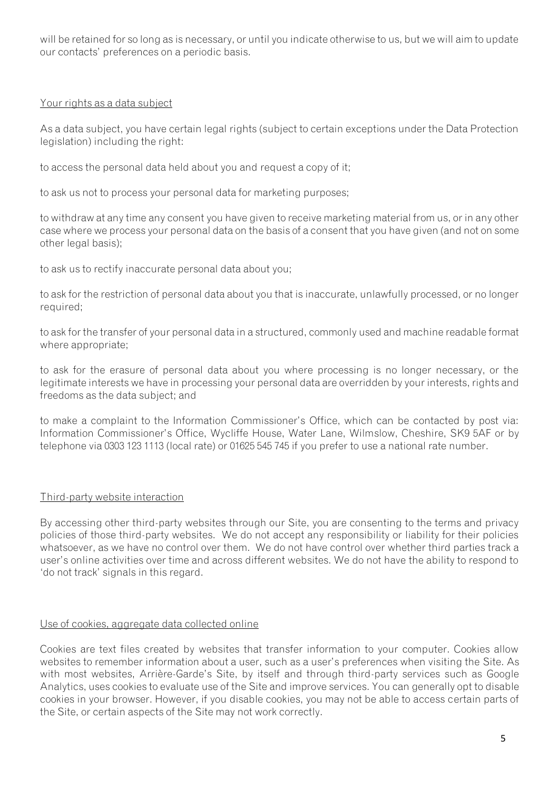will be retained for so long as is necessary, or until you indicate otherwise to us, but we will aim to update our contacts' preferences on a periodic basis.

### Your rights as a data subject

As a data subject, you have certain legal rights (subject to certain exceptions under the Data Protection legislation) including the right:

to access the personal data held about you and request a copy of it;

to ask us not to process your personal data for marketing purposes;

to withdraw at any time any consent you have given to receive marketing material from us, or in any other case where we process your personal data on the basis of a consent that you have given (and not on some other legal basis);

to ask us to rectify inaccurate personal data about you;

to ask for the restriction of personal data about you that is inaccurate, unlawfully processed, or no longer required;

to ask for the transfer of your personal data in a structured, commonly used and machine readable format where appropriate;

to ask for the erasure of personal data about you where processing is no longer necessary, or the legitimate interests we have in processing your personal data are overridden by your interests, rights and freedoms as the data subject; and

to make a complaint to the Information Commissioner's Office, which can be contacted by post via: Information Commissioner's Office, Wycliffe House, Water Lane, Wilmslow, Cheshire, SK9 5AF or by telephone via 0303 123 1113 (local rate) or 01625 545 745 if you prefer to use a national rate number.

## Third-party website interaction

By accessing other third-party websites through our Site, you are consenting to the terms and privacy policies of those third-party websites. We do not accept any responsibility or liability for their policies whatsoever, as we have no control over them. We do not have control over whether third parties track a user's online activities over time and across different websites. We do not have the ability to respond to 'do not track' signals in this regard.

## Use of cookies, aggregate data collected online

Cookies are text files created by websites that transfer information to your computer. Cookies allow websites to remember information about a user, such as a user's preferences when visiting the Site. As with most websites, Arrière-Garde's Site, by itself and through third-party services such as Google Analytics, uses cookies to evaluate use of the Site and improve services. You can generally opt to disable cookies in your browser. However, if you disable cookies, you may not be able to access certain parts of the Site, or certain aspects of the Site may not work correctly.